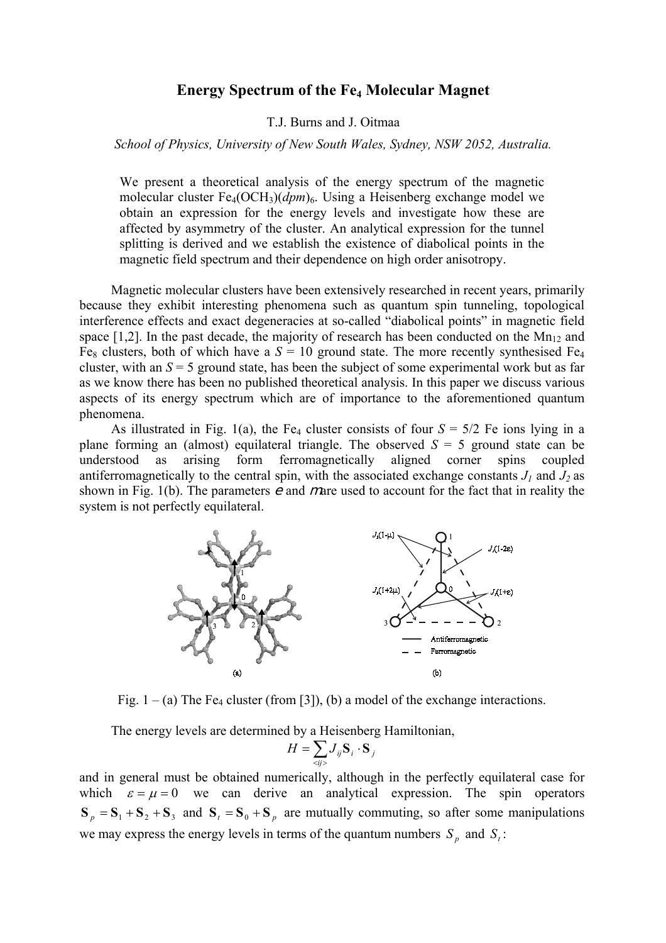## **Energy Spectrum of the Fe4 Molecular Magnet**

T.J. Burns and J. Oitmaa

## *School of Physics, University of New South Wales, Sydney, NSW 2052, Australia.*

We present a theoretical analysis of the energy spectrum of the magnetic molecular cluster Fe<sub>4</sub>(OCH<sub>3</sub>)(*dpm*)<sub>6</sub>. Using a Heisenberg exchange model we obtain an expression for the energy levels and investigate how these are affected by asymmetry of the cluster. An analytical expression for the tunnel splitting is derived and we establish the existence of diabolical points in the magnetic field spectrum and their dependence on high order anisotropy.

Magnetic molecular clusters have been extensively researched in recent years, primarily because they exhibit interesting phenomena such as quantum spin tunneling, topological interference effects and exact degeneracies at so-called "diabolical points" in magnetic field space  $[1,2]$ . In the past decade, the majority of research has been conducted on the Mn<sub>12</sub> and Fe<sub>8</sub> clusters, both of which have a  $S = 10$  ground state. The more recently synthesised Fe<sub>4</sub> cluster, with an *S* = 5 ground state, has been the subject of some experimental work but as far as we know there has been no published theoretical analysis. In this paper we discuss various aspects of its energy spectrum which are of importance to the aforementioned quantum phenomena.

As illustrated in Fig. 1(a), the Fe<sub>4</sub> cluster consists of four  $S = 5/2$  Fe ions lying in a plane forming an (almost) equilateral triangle. The observed  $S = 5$  ground state can be understood as arising form ferromagnetically aligned corner spins coupled antiferromagnetically to the central spin, with the associated exchange constants  $J_1$  and  $J_2$  as shown in Fig. 1(b). The parameters  $e$  and mare used to account for the fact that in reality the system is not perfectly equilateral.



Fig.  $1 - (a)$  The Fe<sub>4</sub> cluster (from [3]), (b) a model of the exchange interactions.

The energy levels are determined by a Heisenberg Hamiltonian,

$$
H = \sum_{\langle ij \rangle} J_{ij} \mathbf{S}_i \cdot \mathbf{S}_j
$$

and in general must be obtained numerically, although in the perfectly equilateral case for which  $\varepsilon = \mu = 0$  we can derive an analytical expression. The spin operators  $S_p = S_1 + S_2 + S_3$  and  $S_t = S_0 + S_p$  are mutually commuting, so after some manipulations we may express the energy levels in terms of the quantum numbers  $S_p$  and  $S_t$ :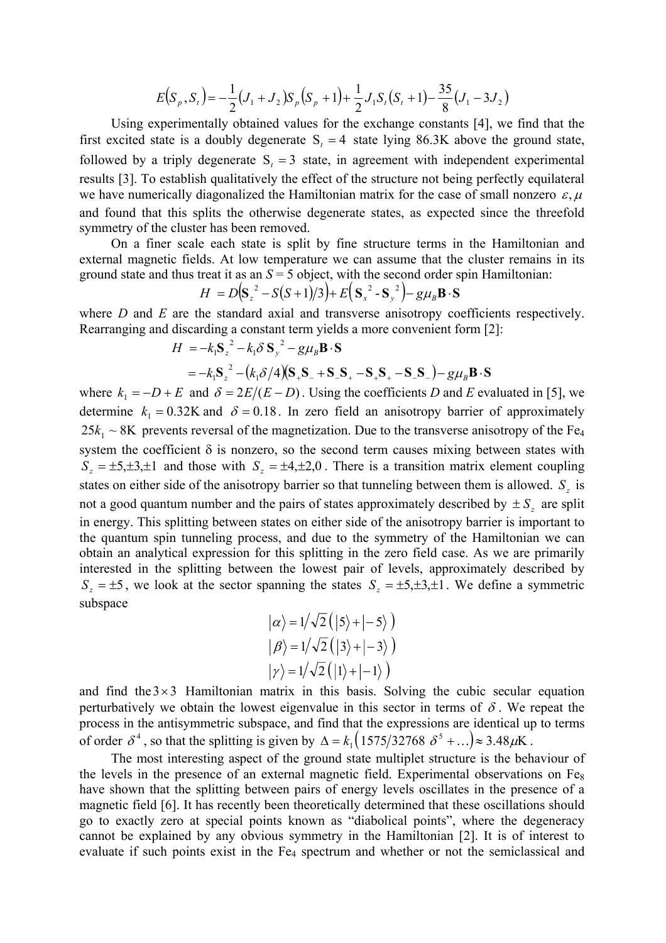$$
E(S_p, S_t) = -\frac{1}{2}(J_1 + J_2)S_p(S_p + 1) + \frac{1}{2}J_1S_t(S_t + 1) - \frac{35}{8}(J_1 - 3J_2)
$$

Using experimentally obtained values for the exchange constants [4], we find that the first excited state is a doubly degenerate  $S_t = 4$  state lying 86.3K above the ground state, followed by a triply degenerate  $S_t = 3$  state, in agreement with independent experimental results [3]. To establish qualitatively the effect of the structure not being perfectly equilateral we have numerically diagonalized the Hamiltonian matrix for the case of small nonzero  $\varepsilon, \mu$ and found that this splits the otherwise degenerate states, as expected since the threefold symmetry of the cluster has been removed.

On a finer scale each state is split by fine structure terms in the Hamiltonian and external magnetic fields. At low temperature we can assume that the cluster remains in its ground state and thus treat it as an  $S = 5$  object, with the second order spin Hamiltonian:

$$
H = D(\mathbf{S}_z^2 - S(S+1)/3) + E(\mathbf{S}_x^2 - \mathbf{S}_y^2) - g\mu_B \mathbf{B} \cdot \mathbf{S}
$$

where *D* and *E* are the standard axial and transverse anisotropy coefficients respectively. Rearranging and discarding a constant term yields a more convenient form [2]:

$$
H = -k_1 \mathbf{S}_z^2 - k_1 \delta \mathbf{S}_y^2 - g\mu_B \mathbf{B} \cdot \mathbf{S}
$$
  
=  $-k_1 \mathbf{S}_z^2 - (k_1 \delta/4)(\mathbf{S}_+ \mathbf{S}_- + \mathbf{S}_- \mathbf{S}_+ - \mathbf{S}_+ \mathbf{S}_+ - \mathbf{S}_- \mathbf{S}_-) - g\mu_B \mathbf{B} \cdot \mathbf{S}$ 

where  $k_1 = -D + E$  and  $\delta = 2E/(E - D)$ . Using the coefficients *D* and *E* evaluated in [5], we determine  $k_1 = 0.32$ K and  $\delta = 0.18$ . In zero field an anisotropy barrier of approximately  $S_z = \pm 5, \pm 3, \pm 1$  and those with  $S_z = \pm 4, \pm 2, 0$ . There is a transition matrix element coupling  $25k_1 \sim 8K$  prevents reversal of the magnetization. Due to the transverse anisotropy of the Fe<sub>4</sub>  $S_z = \pm 5$ , we look at the sector spanning the states  $S_z = \pm 5, \pm 3, \pm 1$ . We define a symmetric system the coefficient  $\delta$  is nonzero, so the second term causes mixing between states with states on either side of the anisotropy barrier so that tunneling between them is allowed.  $S_z$  is not a good quantum number and the pairs of states approximately described by  $\pm S_z$  are split in energy. This splitting between states on either side of the anisotropy barrier is important to the quantum spin tunneling process, and due to the symmetry of the Hamiltonian we can obtain an analytical expression for this splitting in the zero field case. As we are primarily interested in the splitting between the lowest pair of levels, approximately described by subspace

$$
|\alpha\rangle = 1/\sqrt{2} (|5\rangle + |-5\rangle)
$$
  

$$
|\beta\rangle = 1/\sqrt{2} (|3\rangle + |-3\rangle)
$$
  

$$
|\gamma\rangle = 1/\sqrt{2} (|1\rangle + |-1\rangle)
$$

and find the  $3 \times 3$  Hamiltonian matrix in this basis. Solving the cubic secular equation perturbatively we obtain the lowest eigenvalue in this sector in terms of  $\delta$ . We repeat the process in the antisymmetric subspace, and find that the expressions are identical up to terms of order  $\delta^4$ , so that the splitting is given by  $\Delta = k_1 \left( \frac{1575}{32768} \delta^5 + \ldots \right) \approx 3.48 \mu \mathrm{K}$ .

The most interesting aspect of the ground state multiplet structure is the behaviour of the levels in the presence of an external magnetic field. Experimental observations on  $Fe<sub>8</sub>$ have shown that the splitting between pairs of energy levels oscillates in the presence of a magnetic field [6]. It has recently been theoretically determined that these oscillations should go to exactly zero at special points known as "diabolical points", where the degeneracy cannot be explained by any obvious symmetry in the Hamiltonian [2]. It is of interest to evaluate if such points exist in the Fe<sub>4</sub> spectrum and whether or not the semiclassical and